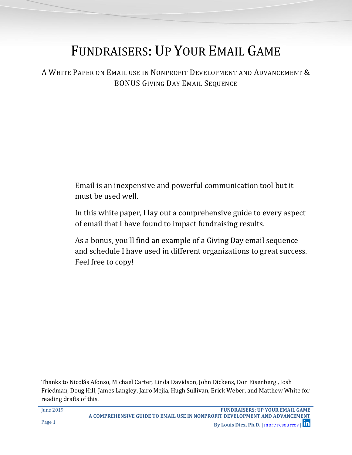# FUNDRAISERS: UP YOUR EMAIL GAME

A WHITE PAPER ON EMAIL USE IN NONPROFIT DEVELOPMENT AND ADVANCEMENT & BONUS GIVING DAY EMAIL SEQUENCE

> Email is an inexpensive and powerful communication tool but it must be used well.

In this white paper, I lay out a comprehensive guide to every aspect of email that I have found to impact fundraising results.

As a bonus, you'll find an example of a Giving Day email sequence and schedule I have used in different organizations to great success. Feel free to copy!

Thanks to Nicolás Afonso, Michael Carter, Linda Davidson, John Dickens, Don Eisenberg , Josh Friedman, Doug Hill, James Langley, Jairo Mejia, Hugh Sullivan, Erick Weber, and Matthew White for reading drafts of this.

| <b>Iune 2019</b> | <b>FUNDRAISERS: UP YOUR EMAIL GAME</b>                                      |
|------------------|-----------------------------------------------------------------------------|
|                  | A COMPREHENSIVE GUIDE TO EMAIL USE IN NONPROFIT DEVELOPMENT AND ADVANCEMENT |
| Page 1           | By Louis Diez, Ph.D.   more resources   In                                  |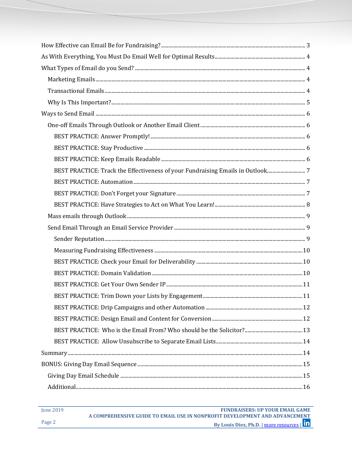| BEST PRACTICE: Track the Effectiveness of your Fundraising Emails in Outlook7 |  |
|-------------------------------------------------------------------------------|--|
|                                                                               |  |
|                                                                               |  |
|                                                                               |  |
|                                                                               |  |
|                                                                               |  |
|                                                                               |  |
|                                                                               |  |
|                                                                               |  |
|                                                                               |  |
|                                                                               |  |
|                                                                               |  |
|                                                                               |  |
|                                                                               |  |
|                                                                               |  |
|                                                                               |  |
|                                                                               |  |
|                                                                               |  |
|                                                                               |  |
| $\bf Additional 16$                                                           |  |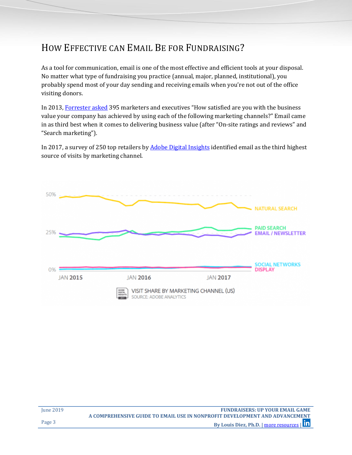## <span id="page-2-0"></span>HOW EFFECTIVE CAN EMAIL BE FOR FUNDRAISING?

As a tool for communication, email is one of the most effective and efficient tools at your disposal. No matter what type of fundraising you practice (annual, major, planned, institutional), you probably spend most of your day sending and receiving emails when you're not out of the office visiting donors.

In 2013, [Forrester asked](https://go.forrester.com/blogs/13-10-28-an_open_letter_to_mark_zuckerberg/) 395 marketers and executives "How satisfied are you with the business value your company has achieved by using each of the following marketing channels?" Email came in as third best when it comes to delivering business value (after "On-site ratings and reviews" and "Search marketing").

In 2017, a survey of 250 top retailers b[y Adobe Digital Insights](https://www.slideshare.net/adobe/adi-retail-industry-report-q2-2017) identified email as the third highest source of visits by marketing channel.



| <b>Iune 2019</b> | <b>FUNDRAISERS: UP YOUR EMAIL GAME</b>                                      |
|------------------|-----------------------------------------------------------------------------|
|                  | A COMPREHENSIVE GUIDE TO EMAIL USE IN NONPROFIT DEVELOPMENT AND ADVANCEMENT |
| Page 3           | By Louis Diez, Ph.D.   more resources   In                                  |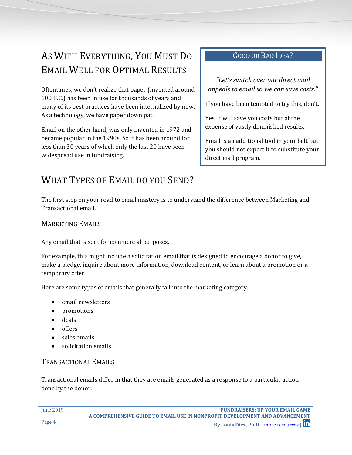## <span id="page-3-0"></span>AS WITH EVERYTHING, YOU MUST DO EMAIL WELL FOR OPTIMAL RESULTS

Oftentimes, we don't realize that paper (invented around 100 B.C.) has been in use for thousands of years and many of its best practices have been internalized by now. As a technology, we have paper down pat.

Email on the other hand, was only invented in 1972 and became popular in the 1990s. So it has been around for less than 30 years of which only the last 20 have seen widespread use in fundraising.

#### GOOD OR BAD IDEA?

*"Let's switch over our direct mail appeals to email so we can save costs."*

If you have been tempted to try this, don't.

Yes, it will save you costs but at the expense of vastly diminished results.

Email is an additional tool in your belt but you should not expect it to substitute your direct mail program.

## <span id="page-3-1"></span>WHAT TYPES OF EMAIL DO YOU SEND?

The first step on your road to email mastery is to understand the difference between Marketing and Transactional email.

#### <span id="page-3-2"></span>MARKETING EMAILS

Any email that is sent for commercial purposes.

For example, this might include a solicitation email that is designed to encourage a donor to give, make a pledge, inquire about more information, download content, or learn about a promotion or a temporary offer.

Here are some types of emails that generally fall into the marketing category:

- email newsletters
- promotions
- deals
- offers
- sales emails
- solicitation emails

#### <span id="page-3-3"></span>TRANSACTIONAL EMAILS

Transactional emails differ in that they are emails generated as a response to a particular action done by the donor.

| Iune 2019 | <b>FUNDRAISERS: UP YOUR EMAIL GAME</b>                                      |
|-----------|-----------------------------------------------------------------------------|
|           | A COMPREHENSIVE GUIDE TO EMAIL USE IN NONPROFIT DEVELOPMENT AND ADVANCEMENT |
| Page 4    | By Louis Diez, Ph.D.   more resources   In                                  |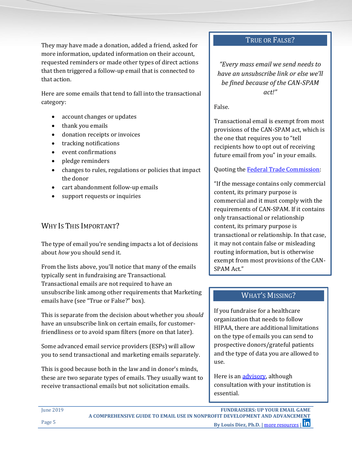They may have made a donation, added a friend, asked for more information, updated information on their account, requested reminders or made other types of direct actions that then triggered a follow-up email that is connected to that action.

Here are some emails that tend to fall into the transactional category:

- account changes or updates
- thank you emails
- donation receipts or invoices
- tracking notifications
- event confirmations
- pledge reminders
- changes to rules, regulations or policies that impact the donor
- cart abandonment follow-up emails
- support requests or inquiries

#### <span id="page-4-0"></span>WHY IS THIS IMPORTANT?

The type of email you're sending impacts a lot of decisions about *how* you should send it.

From the lists above, you'll notice that many of the emails typically sent in fundraising are Transactional. Transactional emails are not required to have an unsubscribe link among other requirements that Marketing emails have (see "True or False?" box).

This is separate from the decision about whether you *should* have an unsubscribe link on certain emails, for customerfriendliness or to avoid spam filters (more on that later).

Some advanced email service providers (ESPs) will allow you to send transactional and marketing emails separately.

This is good because both in the law and in donor's minds, these are two separate types of emails. They usually want to receive transactional emails but not solicitation emails.

#### TRUE OR FALSE?

*"Every mass email we send needs to have an unsubscribe link or else we'll be fined because of the CAN-SPAM act!"*

False.

Transactional email is exempt from most provisions of the CAN-SPAM act, which is the one that requires you to "tell recipients how to opt out of receiving future email from you" in your emails.

#### Quoting the [Federal Trade Commission:](https://www.ftc.gov/tips-advice/business-center/guidance/can-spam-act-compliance-guide-business)

"If the message contains only commercial content, its primary purpose is commercial and it must comply with the requirements of CAN-SPAM. If it contains only transactional or relationship content, its primary purpose is transactional or relationship. In that case, it may not contain false or misleading routing information, but is otherwise exempt from most provisions of the CAN-SPAM Act."

#### WHAT'S MISSING?

If you fundraise for a healthcare organization that needs to follow HIPAA, there are additional limitations on the type of emails you can send to prospective donors/grateful patients and the type of data you are allowed to use.

Here is an [advisory,](https://www.aamc.org/download/376966/data/hipaa_advisory.pdf) although consultation with your institution is essential.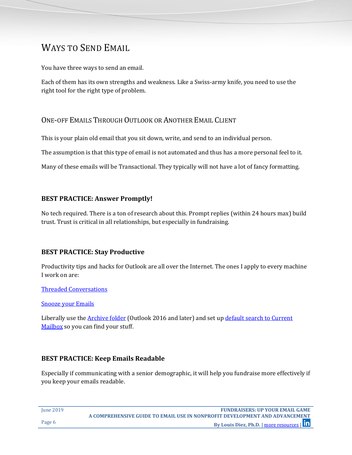## <span id="page-5-0"></span>WAYS TO SEND EMAIL

You have three ways to send an email.

Each of them has its own strengths and weakness. Like a Swiss-army knife, you need to use the right tool for the right type of problem.

#### <span id="page-5-1"></span>ONE-OFF EMAILS THROUGH OUTLOOK OR ANOTHER EMAIL CLIENT

This is your plain old email that you sit down, write, and send to an individual person.

The assumption is that this type of email is not automated and thus has a more personal feel to it.

Many of these emails will be Transactional. They typically will not have a lot of fancy formatting.

#### <span id="page-5-2"></span>**BEST PRACTICE: Answer Promptly!**

No tech required. There is a ton of research about this. Prompt replies (within 24 hours max) build trust. Trust is critical in all relationships, but especially in fundraising.

#### <span id="page-5-3"></span>**BEST PRACTICE: Stay Productive**

Productivity tips and hacks for Outlook are all over the Internet. The ones I apply to every machine I work on are:

[Threaded Conversations](https://www.lifewire.com/view-mail-grouped-by-thread-outlook-1173712)

[Snooze your](https://www.linkedin.com/pulse/how-convert-your-inbox-to-do-list-snoozing-emails-microsoft-govani) Emails

Liberally use the [Archive folder](https://support.office.com/en-us/article/archive-in-outlook-for-windows-25f75777-3cdc-4c77-9783-5929c7b47028) (Outlook 2016 and later) and set up default search to Current [Mailbox](https://www.howtogeek.com/359552/how-to-change-the-default-search-location-in-microsoft-outlook/) so you can find your stuff.

#### <span id="page-5-4"></span>**BEST PRACTICE: Keep Emails Readable**

Especially if communicating with a senior demographic, it will help you fundraise more effectively if you keep your emails readable.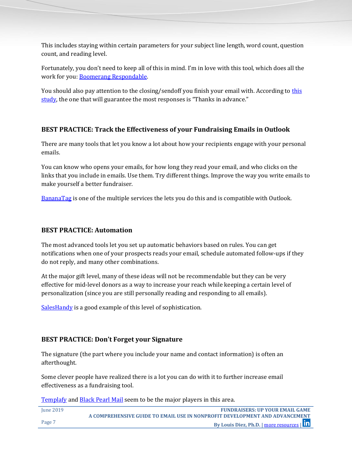This includes staying within certain parameters for your subject line length, word count, question count, and reading level.

Fortunately, you don't need to keep all of this in mind. I'm in love with this tool, which does all the work for you: [Boomerang Respondable.](https://www.boomeranggmail.com/respondable/)

You should also pay attention to the closing/sendoff you finish your email with. According to this [study](https://blog.boomerangapp.com/2017/01/how-to-end-an-email-email-sign-offs/), the one that will guarantee the most responses is "Thanks in advance."

#### <span id="page-6-0"></span>**BEST PRACTICE: Track the Effectiveness of your Fundraising Emails in Outlook**

There are many tools that let you know a lot about how your recipients engage with your personal emails.

You can know who opens your emails, for how long they read your email, and who clicks on the links that you include in emails. Use them. Try different things. Improve the way you write emails to make yourself a better fundraiser.

[BananaTag](https://bananatag.com/) is one of the multiple services the lets you do this and is compatible with Outlook.

#### <span id="page-6-1"></span>**BEST PRACTICE: Automation**

The most advanced tools let you set up automatic behaviors based on rules. You can get notifications when one of your prospects reads your email, schedule automated follow-ups if they do not reply, and many other combinations.

At the major gift level, many of these ideas will not be recommendable but they can be very effective for mid-level donors as a way to increase your reach while keeping a certain level of personalization (since you are still personally reading and responding to all emails).

[SalesHandy](https://www.saleshandy.com/features/) is a good example of this level of sophistication.

#### <span id="page-6-2"></span>**BEST PRACTICE: Don't Forget your Signature**

The signature (the part where you include your name and contact information) is often an afterthought.

Some clever people have realized there is a lot you can do with it to further increase email effectiveness as a fundraising tool.

[Templafy](https://www.templafy.com/) and [Black Pearl Mail](https://www.blackpearlmail.com/) seem to be the major players in this area.

| Iune 2019 | <b>FUNDRAISERS: UP YOUR EMAIL GAME</b>                                      |
|-----------|-----------------------------------------------------------------------------|
|           | A COMPREHENSIVE GUIDE TO EMAIL USE IN NONPROFIT DEVELOPMENT AND ADVANCEMENT |
| Page 7    | By Louis Diez, Ph.D.   more resources   Th                                  |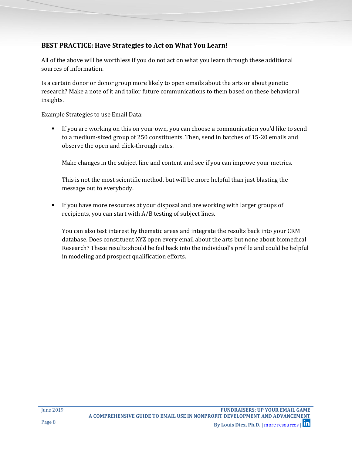#### <span id="page-7-0"></span>**BEST PRACTICE: Have Strategies to Act on What You Learn!**

All of the above will be worthless if you do not act on what you learn through these additional sources of information.

Is a certain donor or donor group more likely to open emails about the arts or about genetic research? Make a note of it and tailor future communications to them based on these behavioral insights.

Example Strategies to use Email Data:

 If you are working on this on your own, you can choose a communication you'd like to send to a medium-sized group of 250 constituents. Then, send in batches of 15-20 emails and observe the open and click-through rates.

Make changes in the subject line and content and see if you can improve your metrics.

This is not the most scientific method, but will be more helpful than just blasting the message out to everybody.

 If you have more resources at your disposal and are working with larger groups of recipients, you can start with A/B testing of subject lines.

You can also test interest by thematic areas and integrate the results back into your CRM database. Does constituent XYZ open every email about the arts but none about biomedical Research? These results should be fed back into the individual's profile and could be helpful in modeling and prospect qualification efforts.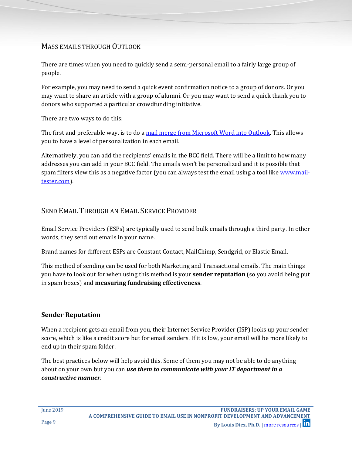#### <span id="page-8-0"></span>MASS EMAILS THROUGH OUTLOOK

There are times when you need to quickly send a semi-personal email to a fairly large group of people.

For example, you may need to send a quick event confirmation notice to a group of donors. Or you may want to share an article with a group of alumni. Or you may want to send a quick thank you to donors who supported a particular crowdfunding initiative.

There are two ways to do this:

The first and preferable way, is to do a [mail merge from Microsoft Word into Outlook.](https://support.office.com/en-us/article/use-mail-merge-to-send-bulk-email-messages-0f123521-20ce-4aa8-8b62-ac211dedefa4) This allows you to have a level of personalization in each email.

Alternatively, you can add the recipients' emails in the BCC field. There will be a limit to how many addresses you can add in your BCC field. The emails won't be personalized and it is possible that spam filters view this as a negative factor (you can always test the email using a tool like [www.mail](http://www.mail-tester.com/)[tester.com\)](http://www.mail-tester.com/).

#### <span id="page-8-1"></span>SEND EMAIL THROUGH AN EMAIL SERVICE PROVIDER

Email Service Providers (ESPs) are typically used to send bulk emails through a third party. In other words, they send out emails in your name.

Brand names for different ESPs are Constant Contact, MailChimp, Sendgrid, or Elastic Email.

This method of sending can be used for both Marketing and Transactional emails. The main things you have to look out for when using this method is your **sender reputation** (so you avoid being put in spam boxes) and **measuring fundraising effectiveness**.

#### <span id="page-8-2"></span>**Sender Reputation**

When a recipient gets an email from you, their Internet Service Provider (ISP) looks up your sender score, which is like a credit score but for email senders. If it is low, your email will be more likely to end up in their spam folder.

The best practices below will help avoid this. Some of them you may not be able to do anything about on your own but you can *use them to communicate with your IT department in a constructive manner*.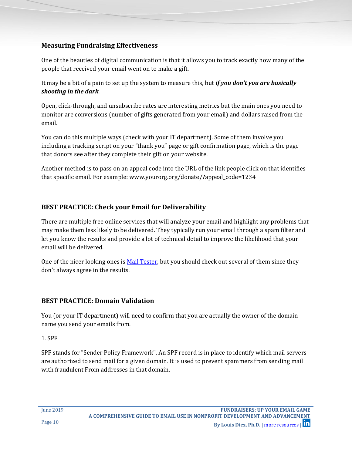#### <span id="page-9-0"></span>**Measuring Fundraising Effectiveness**

One of the beauties of digital communication is that it allows you to track exactly how many of the people that received your email went on to make a gift.

It may be a bit of a pain to set up the system to measure this, but *if you don't you are basically shooting in the dark*.

Open, click-through, and unsubscribe rates are interesting metrics but the main ones you need to monitor are conversions (number of gifts generated from your email) and dollars raised from the email.

You can do this multiple ways (check with your IT department). Some of them involve you including a tracking script on your "thank you" page or gift confirmation page, which is the page that donors see after they complete their gift on your website.

Another method is to pass on an appeal code into the URL of the link people click on that identifies that specific email. For example: www.yourorg.org/donate/?appeal\_code=1234

#### <span id="page-9-1"></span>**BEST PRACTICE: Check your Email for Deliverability**

There are multiple free online services that will analyze your email and highlight any problems that may make them less likely to be delivered. They typically run your email through a spam filter and let you know the results and provide a lot of technical detail to improve the likelihood that your email will be delivered.

One of the nicer looking ones is [Mail Tester,](https://www.mail-tester.com/) but you should check out several of them since they don't always agree in the results.

#### <span id="page-9-2"></span>**BEST PRACTICE: Domain Validation**

You (or your IT department) will need to confirm that you are actually the owner of the domain name you send your emails from.

1. SPF

SPF stands for "Sender Policy Framework". An SPF record is in place to identify which mail servers are authorized to send mail for a given domain. It is used to prevent spammers from sending mail with fraudulent From addresses in that domain.

June 2019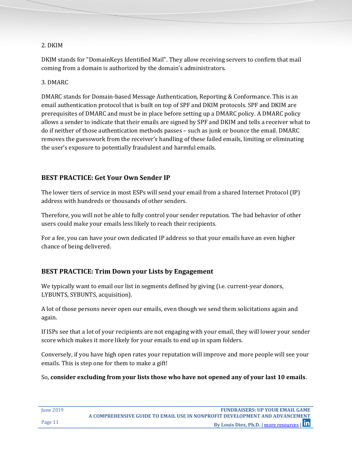#### 2. DKIM

DKIM stands for "DomainKeys Identified Mail". They allow receiving servers to confirm that mail coming from a domain is authorized by the domain's administrators.

#### 3. DMARC

DMARC stands for Domain-based Message Authentication, Reporting & Conformance. This is an email authentication protocol that is built on top of SPF and DKIM protocols. SPF and DKIM are prerequisites of DMARC and must be in place before setting up a DMARC policy. A DMARC policy allows a sender to indicate that their emails are signed by SPF and DKIM and tells a receiver what to do if neither of those authentication methods passes – such as junk or bounce the email. DMARC removes the guesswork from the receiver's handling of these failed emails, limiting or eliminating the user's exposure to potentially fraudulent and harmful emails.

#### <span id="page-10-0"></span>**BEST PRACTICE: Get Your Own Sender IP**

The lower tiers of service in most ESPs will send your email from a shared Internet Protocol (IP) address with hundreds or thousands of other senders.

Therefore, you will not be able to fully control your sender reputation. The bad behavior of other users could make your emails less likely to reach their recipients.

For a fee, you can have your own dedicated IP address so that your emails have an even higher chance of being delivered.

#### <span id="page-10-1"></span>**BEST PRACTICE: Trim Down your Lists by Engagement**

We typically want to email our list in segments defined by giving (i.e. current-year donors, LYBUNTS, SYBUNTS, acquisition).

A lot of those persons never open our emails, even though we send them solicitations again and again.

If ISPs see that a lot of your recipients are not engaging with your email, they will lower your sender score which makes it more likely for your emails to end up in spam folders.

Conversely, if you have high open rates your reputation will improve and more people will see your emails. This is step one for them to make a gift!

So, **consider excluding from your lists those who have not opened any of your last 10 emails**.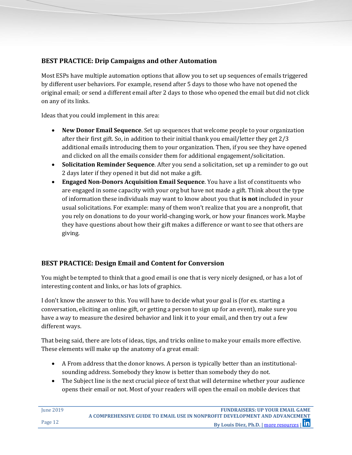#### <span id="page-11-0"></span>**BEST PRACTICE: Drip Campaigns and other Automation**

Most ESPs have multiple automation options that allow you to set up sequences of emails triggered by different user behaviors. For example, resend after 5 days to those who have not opened the original email; or send a different email after 2 days to those who opened the email but did not click on any of its links.

Ideas that you could implement in this area:

- **New Donor Email Sequence**. Set up sequences that welcome people to your organization after their first gift. So, in addition to their initial thank you email/letter they get 2/3 additional emails introducing them to your organization. Then, if you see they have opened and clicked on all the emails consider them for additional engagement/solicitation.
- **Solicitation Reminder Sequence**. After you send a solicitation, set up a reminder to go out 2 days later if they opened it but did not make a gift.
- **Engaged Non-Donors Acquisition Email Sequence**. You have a list of constituents who are engaged in some capacity with your org but have not made a gift. Think about the type of information these individuals may want to know about you that **is not** included in your usual solicitations. For example: many of them won't realize that you are a nonprofit, that you rely on donations to do your world-changing work, or how your finances work. Maybe they have questions about how their gift makes a difference or want to see that others are giving.

#### <span id="page-11-1"></span>**BEST PRACTICE: Design Email and Content for Conversion**

You might be tempted to think that a good email is one that is very nicely designed, or has a lot of interesting content and links, or has lots of graphics.

I don't know the answer to this. You will have to decide what your goal is (for ex. starting a conversation, eliciting an online gift, or getting a person to sign up for an event), make sure you have a way to measure the desired behavior and link it to your email, and then try out a few different ways.

That being said, there are lots of ideas, tips, and tricks online to make your emails more effective. These elements will make up the anatomy of a great email:

- A From address that the donor knows. A person is typically better than an institutionalsounding address. Somebody they know is better than somebody they do not.
- The Subject line is the next crucial piece of text that will determine whether your audience opens their email or not. Most of your readers will open the email on mobile devices that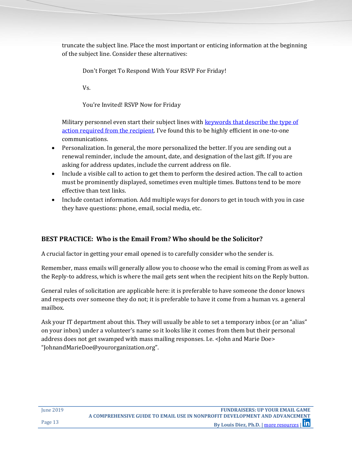truncate the subject line. Place the most important or enticing information at the beginning of the subject line. Consider these alternatives:

Don't Forget To Respond With Your RSVP For Friday!

Vs.

You're Invited! RSVP Now for Friday

Military personnel even start their subject lines with keywords that describe the type of [action required from the recipient](https://hbr.org/2016/11/how-to-write-email-with-military-precision). I've found this to be highly efficient in one-to-one communications.

- Personalization. In general, the more personalized the better. If you are sending out a renewal reminder, include the amount, date, and designation of the last gift. If you are asking for address updates, include the current address on file.
- Include a visible call to action to get them to perform the desired action. The call to action must be prominently displayed, sometimes even multiple times. Buttons tend to be more effective than text links.
- Include contact information. Add multiple ways for donors to get in touch with you in case they have questions: phone, email, social media, etc.

#### <span id="page-12-0"></span>**BEST PRACTICE: Who is the Email From? Who should be the Solicitor?**

A crucial factor in getting your email opened is to carefully consider who the sender is.

Remember, mass emails will generally allow you to choose who the email is coming From as well as the Reply-to address, which is where the mail gets sent when the recipient hits on the Reply button.

General rules of solicitation are applicable here: it is preferable to have someone the donor knows and respects over someone they do not; it is preferable to have it come from a human vs. a general mailbox.

<span id="page-12-1"></span>Ask your IT department about this. They will usually be able to set a temporary inbox (or an "alias" on your inbox) under a volunteer's name so it looks like it comes from them but their personal address does not get swamped with mass mailing responses. I.e. <John and Marie Doe> "JohnandMarieDoe@yourorganization.org".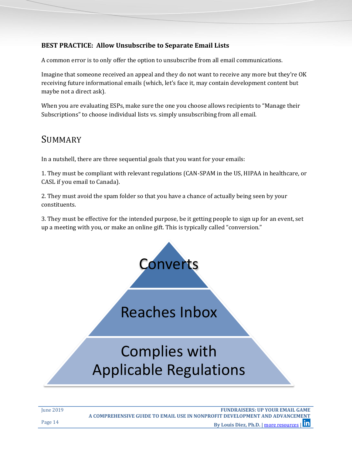#### **BEST PRACTICE: Allow Unsubscribe to Separate Email Lists**

A common error is to only offer the option to unsubscribe from all email communications.

Imagine that someone received an appeal and they do not want to receive any more but they're OK receiving future informational emails (which, let's face it, may contain development content but maybe not a direct ask).

When you are evaluating ESPs, make sure the one you choose allows recipients to "Manage their Subscriptions" to choose individual lists vs. simply unsubscribing from all email.

### <span id="page-13-0"></span>SUMMARY

In a nutshell, there are three sequential goals that you want for your emails:

1. They must be compliant with relevant regulations (CAN-SPAM in the US, HIPAA in healthcare, or CASL if you email to Canada).

2. They must avoid the spam folder so that you have a chance of actually being seen by your constituents.

3. They must be effective for the intended purpose, be it getting people to sign up for an event, set up a meeting with you, or make an online gift. This is typically called "conversion."

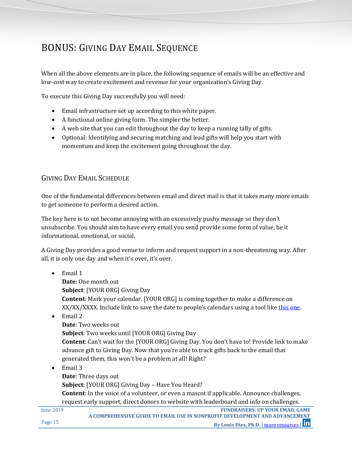## <span id="page-14-0"></span>BONUS: GIVING DAY EMAIL SEQUENCE

When all the above elements are in place, the following sequence of emails will be an effective and low-cost way to create excitement and revenue for your organization's Giving Day.

To execute this Giving Day successfully you will need:

- Email infrastructure set up according to this white paper.
- A functional online giving form. The simpler the better.
- A web site that you can edit throughout the day to keep a running tally of gifts.
- Optional: Identifying and securing matching and lead gifts will help you start with momentum and keep the excitement going throughout the day.

#### <span id="page-14-1"></span>GIVING DAY EMAIL SCHEDULE

One of the fundamental differences between email and direct mail is that it takes many more emails to get someone to perform a desired action.

The key here is to not become annoying with an excessively pushy message so they don't unsubscribe. You should aim to have every email you send provide some form of value, be it informational, emotional, or social.

A Giving Day provides a good venue to inform and request support in a non-threatening way. After all, it is only one day and when it's over, it's over.

 $\bullet$  Email 1

**Date**: One month out **Subject**: [YOUR ORG] Giving Day **Content**: Mark your calendar. [YOUR ORG] is coming together to make a difference on XX/XX/XXXX. Include link to save the date to people's calendars using a tool like [this one.](https://jennamolby.com/tools/ics-link-generator/)

 $\bullet$  Email 2

**Date**: Two weeks out **Subject**: Two weeks until [YOUR ORG] Giving Day **Content**: Can't wait for the [YOUR ORG] Giving Day. You don't have to! Provide link to make advance gift to Giving Day. Now that you're able to track gifts back to the email that generated them, this won't be a problem at all! Right?

• Email 3

**Date**: Three days out **Subject**: [YOUR ORG] Giving Day – Have You Heard? **Content**: In the voice of a volunteer, or even a mascot if applicable. Announce challenges, request early support, direct donors to website with leaderboard and info on challenges.